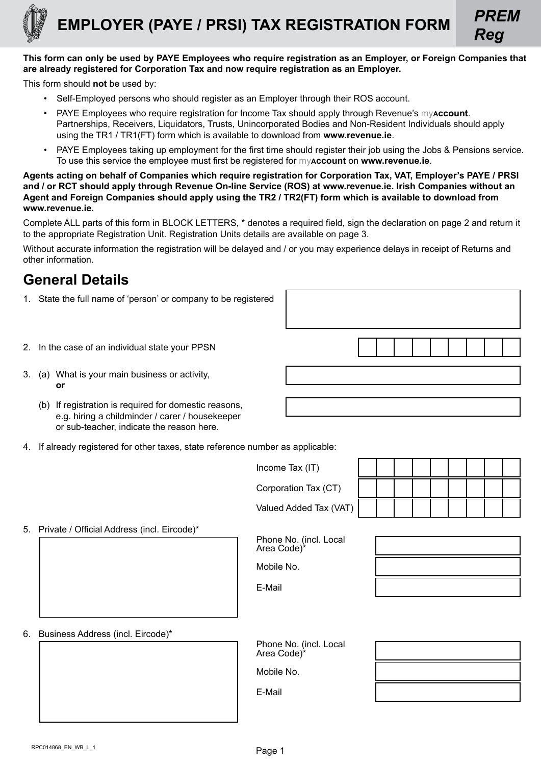

# **EMPLOYER (PAYE / PRSI) TAX REGISTRATION FORM** *PREM*



This form should **not** be used by:

- Self-Employed persons who should register as an Employer through their ROS account.
- PAYE Employees who require registration for Income Tax should apply through Revenue's my**account**. Partnerships, Receivers, Liquidators, Trusts, Unincorporated Bodies and Non-Resident Individuals should apply using the TR1 / TR1(FT) form which is available to download from **[www.revenue.ie](https://www.revenue.ie/en/Home.aspx)**.
- PAYE Employees taking up employment for the first time should register their job using the Jobs & Pensions service. To use this service the employee must first be registered for my**account** on **[www.revenue.ie](https://www.revenue.ie/en/Home.aspx)**.

**Agents acting on behalf of Companies which require registration for Corporation Tax, VAT, Employer's PAYE / PRSI and / or RCT should apply through Revenue On-line Service (ROS) at [www.revenue.ie.](https://www.revenue.ie/en/Home.aspx) Irish Companies without an Agent and Foreign Companies should apply using the TR2 / TR2(FT) form which is available to download from [www.revenue.ie.](https://www.revenue.ie/en/Home.aspx)**

Complete ALL parts of this form in BLOCK LETTERS, \* denotes a required field, sign the declaration on page 2 and return it to the appropriate Registration Unit. Registration Units details are available on page 3.

Without accurate information the registration will be delayed and / or you may experience delays in receipt of Returns and other information.

## **General Details**

- 1. State the full name of 'person' or company to be registered
- 2. In the case of an individual state your PPSN
- 3. (a) What is your main business or activity, **or**
	- (b) If registration is required for domestic reasons, e.g. hiring a childminder / carer / housekeeper or sub-teacher, indicate the reason here.
- 4. If already registered for other taxes, state reference number as applicable:

| Income Tax (IT)        |  |  |  |  |  |
|------------------------|--|--|--|--|--|
| Corporation Tax (CT)   |  |  |  |  |  |
| Valued Added Tax (VAT) |  |  |  |  |  |

5. Private / Official Address (incl. Eircode)\*

Phone No. (incl. Local Area Code)<sup>\*</sup>

Mobile No.

E-Mail

*Reg*

6. Business Address (incl. Eircode)\*

Phone No. (incl. Local Area Code)\*

Mobile No.

E-Mail

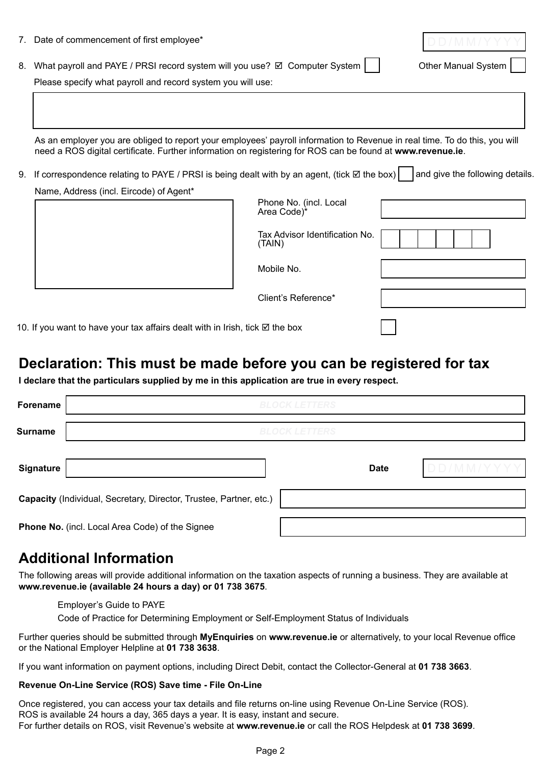|                                                                                                                                                | 7. Date of commencement of first employee*                                                                                                                                                                                               |                                          |  |
|------------------------------------------------------------------------------------------------------------------------------------------------|------------------------------------------------------------------------------------------------------------------------------------------------------------------------------------------------------------------------------------------|------------------------------------------|--|
| 8.                                                                                                                                             | What payroll and PAYE / PRSI record system will you use? Ø Computer System                                                                                                                                                               | Other Manual System                      |  |
|                                                                                                                                                | Please specify what payroll and record system you will use:                                                                                                                                                                              |                                          |  |
|                                                                                                                                                | As an employer you are obliged to report your employees' payroll information to Revenue in real time. To do this, you will<br>need a ROS digital certificate. Further information on registering for ROS can be found at www.revenue.ie. |                                          |  |
| If correspondence relating to PAYE / PRSI is being dealt with by an agent, (tick $\boxtimes$ the box)<br>and give the following details.<br>9. |                                                                                                                                                                                                                                          |                                          |  |
|                                                                                                                                                | Name, Address (incl. Eircode) of Agent*                                                                                                                                                                                                  | Phone No. (incl. Local<br>Area Code)*    |  |
|                                                                                                                                                |                                                                                                                                                                                                                                          | Tax Advisor Identification No.<br>(TAIN) |  |
|                                                                                                                                                |                                                                                                                                                                                                                                          | Mobile No.                               |  |
|                                                                                                                                                |                                                                                                                                                                                                                                          | Client's Reference*                      |  |

10. If you want to have your tax affairs dealt with in Irish, tick  $\boxtimes$  the box

### **Declaration: This must be made before you can be registered for tax**

**I declare that the particulars supplied by me in this application are true in every respect.**

| Forename                                                           | <b>BLOCK LETTERS</b> |             |           |  |  |  |
|--------------------------------------------------------------------|----------------------|-------------|-----------|--|--|--|
| <b>Surname</b>                                                     | <b>BLOCK LETTERS</b> |             |           |  |  |  |
| <b>Signature</b>                                                   |                      | <b>Date</b> | DD/MM/YYY |  |  |  |
| Capacity (Individual, Secretary, Director, Trustee, Partner, etc.) |                      |             |           |  |  |  |
| Phone No. (incl. Local Area Code) of the Signee                    |                      |             |           |  |  |  |

### **Additional Information**

The following areas will provide additional information on the taxation aspects of running a business. They are available at **[www.revenue.ie](https://www.revenue.ie/en/Home.aspx) (available 24 hours a day) or 01 738 3675**.

#### [Employer's Guide to PAYE](http://www.revenue.ie/en/business/paye/guide/index.html)

[Code of Practice for Determining Employment or Self-Employment Status of Individuals](http://www.revenue.ie/en/tax/it/leaflets/code-of-practice-on-employment-status.pdf)

Further queries should be submitted through **[MyEnquiries](https://www.revenue.ie/en/contact-us/index.aspx)** on **[www.revenue.ie](https://www.revenue.ie/en/contact-us/index.aspx)** or alternatively, to your local Revenue office or the National Employer Helpline at **01 738 3638**.

If you want information on payment options, including Direct Debit, contact the Collector-General at **01 738 3663**.

#### **Revenue On-Line Service (ROS) Save time - File On-Line**

Once registered, you can access your tax details and file returns on-line using Revenue On-Line Service (ROS). ROS is available 24 hours a day, 365 days a year. It is easy, instant and secure. For further details on ROS, visit Revenue's website at **[www.revenue.ie](https://www.revenue.ie/en/Home.aspx)** or call the ROS Helpdesk at **01 738 3699**.